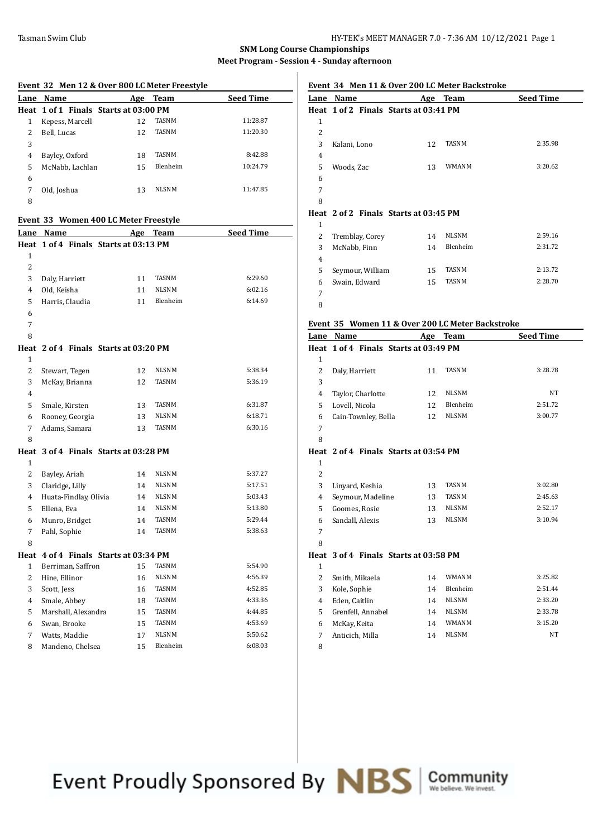## **SNM Long Course Championships Meet Program - Session 4 - Sunday afternoon**

 

|                | Event 32 Men 12 & Over 800 LC Meter Freestyle |    |              |                  |
|----------------|-----------------------------------------------|----|--------------|------------------|
| Lane           | Name                                          |    | Age Team     | <b>Seed Time</b> |
|                | Heat 1 of 1 Finals Starts at 03:00 PM         |    |              |                  |
| 1              | Kepess, Marcell                               | 12 | TASNM        | 11:28.87         |
| 2              | Bell, Lucas                                   | 12 | <b>TASNM</b> | 11:20.30         |
| 3              |                                               |    |              |                  |
| 4              | Bayley, Oxford                                | 18 | TASNM        | 8:42.88          |
| 5              | McNabb, Lachlan                               | 15 | Blenheim     | 10:24.79         |
| 6              |                                               |    |              |                  |
| 7              | Old, Joshua                                   | 13 | <b>NLSNM</b> | 11:47.85         |
| 8              |                                               |    |              |                  |
|                | Event 33 Women 400 LC Meter Freestyle         |    |              |                  |
| Lane           | Name                                          |    | Age Team     | <b>Seed Time</b> |
|                | Heat 1 of 4 Finals Starts at 03:13 PM         |    |              |                  |
| $\mathbf{1}$   |                                               |    |              |                  |
| 2              |                                               |    |              |                  |
| 3              | Daly, Harriett                                | 11 | TASNM        | 6:29.60          |
| $\overline{4}$ | Old, Keisha                                   | 11 | NLSNM        | 6:02.16          |
| 5              | Harris, Claudia                               | 11 | Blenheim     | 6:14.69          |
| 6              |                                               |    |              |                  |
| 7              |                                               |    |              |                  |
| 8              |                                               |    |              |                  |
|                | Heat 2 of 4 Finals Starts at 03:20 PM         |    |              |                  |
| 1              |                                               |    |              |                  |
| 2              | Stewart, Tegen                                | 12 | NLSNM        | 5:38.34          |
| 3              | McKay, Brianna                                | 12 | TASNM        | 5:36.19          |
| 4              |                                               |    |              |                  |
| 5              | Smale, Kirsten                                | 13 | TASNM        | 6:31.87          |
| 6              | Rooney, Georgia                               | 13 | <b>NLSNM</b> | 6:18.71          |
| 7              | Adams, Samara                                 | 13 | <b>TASNM</b> | 6:30.16          |
| 8              |                                               |    |              |                  |
|                | Heat 3 of 4 Finals Starts at 03:28 PM         |    |              |                  |
| $\mathbf{1}$   |                                               |    |              |                  |
| 2              | Bayley, Ariah                                 | 14 | NLSNM        | 5:37.27          |
| 3              | Claridge, Lilly                               | 14 | NLSNM        | 5:17.51          |
| 4              | Huata-Findlay, Olivia                         | 14 | <b>NLSNM</b> | 5:03.43          |
| 5              | Ellena, Eva                                   | 14 | NLSNM        | 5:13.80          |
| 6              | Munro, Bridget                                | 14 | <b>TASNM</b> | 5:29.44          |
| 7              | Pahl, Sophie                                  | 14 | TASNM        | 5:38.63          |
| 8              |                                               |    |              |                  |
|                | Heat 4 of 4 Finals Starts at 03:34 PM         |    |              |                  |
| $\mathbf{1}$   | Berriman, Saffron                             | 15 | TASNM        | 5:54.90          |
| 2              | Hine, Ellinor                                 | 16 | NLSNM        | 4:56.39          |
| 3              | Scott, Jess                                   | 16 | TASNM        | 4:52.85          |
| 4              | Smale, Abbey                                  | 18 | <b>TASNM</b> | 4:33.36          |
| 5              | Marshall, Alexandra                           | 15 | TASNM        | 4:44.85          |
| 6              | Swan, Brooke                                  | 15 | TASNM        | 4:53.69          |
| 7              | Watts, Maddie                                 | 17 | NLSNM        | 5:50.62          |
| 8              | Mandeno, Chelsea                              | 15 | Blenheim     | 6:08.03          |

# **Event 34 Men 11 & Over 200 LC Meter Backstroke**

| Lane         | <b>Name</b>                           | Age                                   | <b>Team</b>  | <b>Seed Time</b> |  |  |
|--------------|---------------------------------------|---------------------------------------|--------------|------------------|--|--|
|              |                                       | Heat 1 of 2 Finals Starts at 03:41 PM |              |                  |  |  |
| $\mathbf{1}$ |                                       |                                       |              |                  |  |  |
| 2            |                                       |                                       |              |                  |  |  |
| 3            | Kalani, Lono                          | 12                                    | <b>TASNM</b> | 2:35.98          |  |  |
| 4            |                                       |                                       |              |                  |  |  |
| 5            | Woods, Zac                            | 13                                    | <b>WMANM</b> | 3:20.62          |  |  |
| 6            |                                       |                                       |              |                  |  |  |
| 7            |                                       |                                       |              |                  |  |  |
| 8            |                                       |                                       |              |                  |  |  |
|              | Heat 2 of 2 Finals Starts at 03:45 PM |                                       |              |                  |  |  |
| 1            |                                       |                                       |              |                  |  |  |
| 2            | Tremblay, Corey                       | 14                                    | <b>NLSNM</b> | 2:59.16          |  |  |
| 3            | McNabb, Finn                          | 14                                    | Blenheim     | 2:31.72          |  |  |
| 4            |                                       |                                       |              |                  |  |  |
| 5            | Seymour, William                      | 15                                    | <b>TASNM</b> | 2:13.72          |  |  |

Swain, Edward 15 TASNM 2:28.70

#### **Event 35 Women 11 & Over 200 LC Meter Backstroke**

| Lane           | Name                                  | Age | <b>Team</b>  | <b>Seed Time</b> |
|----------------|---------------------------------------|-----|--------------|------------------|
|                | Heat 1 of 4 Finals Starts at 03:49 PM |     |              |                  |
| $\mathbf{1}$   |                                       |     |              |                  |
| $\overline{2}$ | Daly, Harriett                        | 11  | <b>TASNM</b> | 3:28.78          |
| 3              |                                       |     |              |                  |
| $\overline{4}$ | Taylor, Charlotte                     | 12  | <b>NLSNM</b> | NT               |
| 5              | Lovell, Nicola                        | 12  | Blenheim     | 2:51.72          |
| 6              | Cain-Townley, Bella                   | 12  | <b>NLSNM</b> | 3:00.77          |
| 7              |                                       |     |              |                  |
| 8              |                                       |     |              |                  |
|                | Heat 2 of 4 Finals Starts at 03:54 PM |     |              |                  |
| $\mathbf{1}$   |                                       |     |              |                  |
| 2              |                                       |     |              |                  |
| 3              | Linyard, Keshia                       | 13  | <b>TASNM</b> | 3:02.80          |
| $\overline{4}$ | Seymour, Madeline                     | 13  | <b>TASNM</b> | 2:45.63          |
| 5              | Goomes, Rosie                         | 13  | <b>NLSNM</b> | 2:52.17          |
| 6              | Sandall, Alexis                       | 13  | <b>NLSNM</b> | 3:10.94          |
| 7              |                                       |     |              |                  |
| 8              |                                       |     |              |                  |
|                | Heat 3 of 4 Finals Starts at 03:58 PM |     |              |                  |
| $\mathbf{1}$   |                                       |     |              |                  |
| 2              | Smith, Mikaela                        | 14  | <b>WMANM</b> | 3:25.82          |
| 3              | Kole, Sophie                          | 14  | Blenheim     | 2:51.44          |
| $\overline{4}$ | Eden, Caitlin                         | 14  | <b>NLSNM</b> | 2:33.20          |
| 5              | Grenfell, Annabel                     | 14  | <b>NLSNM</b> | 2:33.78          |
| 6              | McKay, Keita                          | 14  | WMANM        | 3:15.20          |
| 7              | Anticich, Milla                       | 14  | <b>NLSNM</b> | NT               |
| 8              |                                       |     |              |                  |
|                |                                       |     |              |                  |

Event Proudly Sponsored By **NBS** Community

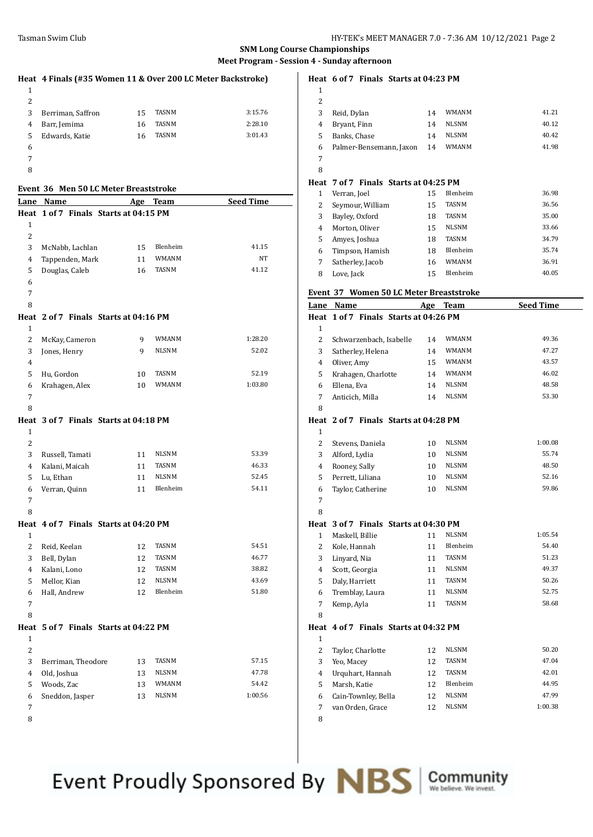# **SNM Long Course Championships**

#### **Meet Program - Session 4 - Sunday afternoon**

|   | Heat 4 Finals (#35 Women 11 & Over 200 LC Meter Backstroke) |    |              |         |
|---|-------------------------------------------------------------|----|--------------|---------|
| 1 |                                                             |    |              |         |
| 2 |                                                             |    |              |         |
| 3 | Berriman, Saffron                                           | 15 | TASNM        | 3:15.76 |
| 4 | Barr, Jemima                                                | 16 | <b>TASNM</b> | 2:28.10 |
| 5 | Edwards, Katie                                              | 16 | <b>TASNM</b> | 3:01.43 |
| 6 |                                                             |    |              |         |
|   |                                                             |    |              |         |

## **Event 36 Men 50 LC Meter Breaststroke**

|                | Lane Name          |                                       | Age Team              | <b>Seed Time</b> |
|----------------|--------------------|---------------------------------------|-----------------------|------------------|
|                |                    | Heat 1 of 7 Finals Starts at 04:15 PM |                       |                  |
| $\mathbf{1}$   |                    |                                       |                       |                  |
| 2              |                    |                                       |                       |                  |
| 3              | McNabb, Lachlan    | 15                                    | Blenheim              | 41.15            |
| 4              | Tappenden, Mark    | 11                                    | <b>WMANM</b>          | NT               |
| 5              | Douglas, Caleb     | 16                                    | TASNM                 | 41.12            |
| 6              |                    |                                       |                       |                  |
| 7              |                    |                                       |                       |                  |
| 8              |                    |                                       |                       |                  |
|                |                    |                                       |                       |                  |
|                |                    | Heat 2 of 7 Finals Starts at 04:16 PM |                       |                  |
| $\mathbf{1}$   |                    |                                       |                       | 1:28.20          |
| 2              | McKay, Cameron     | 9<br>9                                | WMANM<br><b>NLSNM</b> | 52.02            |
| 3              | Jones, Henry       |                                       |                       |                  |
| 4              |                    |                                       |                       |                  |
| 5              | Hu, Gordon         | 10                                    | TASNM                 | 52.19            |
| 6              | Krahagen, Alex     | 10                                    | WMANM                 | 1:03.80          |
| 7              |                    |                                       |                       |                  |
| 8              |                    |                                       |                       |                  |
|                |                    | Heat 3 of 7 Finals Starts at 04:18 PM |                       |                  |
| 1              |                    |                                       |                       |                  |
| 2              |                    |                                       |                       |                  |
| 3              | Russell, Tamati    | 11                                    | <b>NLSNM</b>          | 53.39            |
| 4              | Kalani, Maicah     | 11                                    | TASNM                 | 46.33            |
| 5              | Lu, Ethan          | 11                                    | <b>NLSNM</b>          | 52.45            |
| 6              | Verran, Quinn      | 11                                    | Blenheim              | 54.11            |
| 7              |                    |                                       |                       |                  |
| 8              |                    |                                       |                       |                  |
|                |                    | Heat 4 of 7 Finals Starts at 04:20 PM |                       |                  |
| $\mathbf{1}$   |                    |                                       |                       |                  |
| 2              | Reid, Keelan       | 12                                    | <b>TASNM</b>          | 54.51            |
| 3              | Bell, Dylan        | 12                                    | TASNM                 | 46.77            |
| 4              | Kalani, Lono       | 12                                    | TASNM                 | 38.82            |
| 5              | Mellor, Kian       | 12                                    | <b>NLSNM</b>          | 43.69            |
| 6              | Hall, Andrew       | 12                                    | Blenheim              | 51.80            |
| 7              |                    |                                       |                       |                  |
| 8              |                    |                                       |                       |                  |
|                |                    | Heat 5 of 7 Finals Starts at 04:22 PM |                       |                  |
| $\mathbf{1}$   |                    |                                       |                       |                  |
| 2              |                    |                                       |                       |                  |
| 3              | Berriman, Theodore | 13                                    | <b>TASNM</b>          | 57.15            |
| $\overline{4}$ | Old, Joshua        | 13                                    | NLSNM                 | 47.78            |
| 5              | Woods, Zac         | 13                                    | WMANM                 | 54.42            |
| 6              | Sneddon, Jasper    | 13                                    | NLSNM                 | 1:00.56          |
| 7              |                    |                                       |                       |                  |
| 8              |                    |                                       |                       |                  |

**Heat 6 of 7 Finals Starts at 04:23 PM**

| $\mathbf{1}$ |                                       |    |              |       |
|--------------|---------------------------------------|----|--------------|-------|
| 2            |                                       |    |              |       |
| 3            | Reid, Dylan                           | 14 | <b>WMANM</b> | 41.21 |
| 4            | Bryant, Finn                          | 14 | <b>NLSNM</b> | 40.12 |
| 5            | Banks, Chase                          | 14 | <b>NLSNM</b> | 40.42 |
| 6            | Palmer-Bensemann, Jaxon               | 14 | <b>WMANM</b> | 41.98 |
| 7            |                                       |    |              |       |
| 8            |                                       |    |              |       |
|              | Heat 7 of 7 Finals Starts at 04:25 PM |    |              |       |
| 1            | Verran, Joel                          | 15 | Blenheim     | 36.98 |
| 2            | Seymour, William                      | 15 | <b>TASNM</b> | 36.56 |
| 3            | Bayley, Oxford                        | 18 | <b>TASNM</b> | 35.00 |
| 4            | Morton, Oliver                        | 15 | <b>NLSNM</b> | 33.66 |
| 5            | Amyes, Joshua                         | 18 | <b>TASNM</b> | 34.79 |
| 6            | Timpson, Hamish                       | 18 | Blenheim     | 35.74 |
| 7            | Satherley, Jacob                      | 16 | <b>WMANM</b> | 36.91 |

Love, Jack 15 Blenheim 40.05

#### **Event 37 Women 50 LC Meter Breaststroke**

| Lane           | Name                                  | Age | <b>Team</b>  | <b>Seed Time</b> |
|----------------|---------------------------------------|-----|--------------|------------------|
| Heat           | 1 of 7 Finals Starts at 04:26 PM      |     |              |                  |
| $\mathbf{1}$   |                                       |     |              |                  |
| 2              | Schwarzenbach, Isabelle               | 14  | WMANM        | 49.36            |
| 3              | Satherley, Helena                     | 14  | <b>WMANM</b> | 47.27            |
| $\overline{4}$ | Oliver, Amy                           | 15  | <b>WMANM</b> | 43.57            |
| 5              | Krahagen, Charlotte                   | 14  | WMANM        | 46.02            |
| 6              | Ellena, Eva                           | 14  | <b>NLSNM</b> | 48.58            |
| 7              | Anticich, Milla                       | 14  | <b>NLSNM</b> | 53.30            |
| 8              |                                       |     |              |                  |
| Heat           | 2 of 7 Finals Starts at 04:28 PM      |     |              |                  |
| 1              |                                       |     |              |                  |
| 2              | Stevens, Daniela                      | 10  | <b>NLSNM</b> | 1:00.08          |
| 3              | Alford, Lydia                         | 10  | <b>NLSNM</b> | 55.74            |
| 4              | Rooney, Sally                         | 10  | <b>NLSNM</b> | 48.50            |
| 5              | Perrett, Liliana                      | 10  | <b>NLSNM</b> | 52.16            |
| 6              | Taylor, Catherine                     | 10  | <b>NLSNM</b> | 59.86            |
| $\overline{7}$ |                                       |     |              |                  |
| 8              |                                       |     |              |                  |
|                | Heat 3 of 7 Finals Starts at 04:30 PM |     |              |                  |
| $\mathbf{1}$   | Maskell, Billie                       | 11  | <b>NLSNM</b> | 1:05.54          |
| 2              | Kole, Hannah                          | 11  | Blenheim     | 54.40            |
| 3              | Linyard, Nia                          | 11  | <b>TASNM</b> | 51.23            |
| 4              | Scott, Georgia                        | 11  | <b>NLSNM</b> | 49.37            |
| 5              | Daly, Harriett                        | 11  | TASNM        | 50.26            |
| 6              | Tremblay, Laura                       | 11  | <b>NLSNM</b> | 52.75            |
| 7              | Kemp, Ayla                            | 11  | <b>TASNM</b> | 58.68            |
| 8              |                                       |     |              |                  |
|                | Heat 4 of 7 Finals Starts at 04:32 PM |     |              |                  |
| $\mathbf{1}$   |                                       |     |              |                  |
| 2              | Taylor, Charlotte                     | 12  | <b>NLSNM</b> | 50.20            |
| 3              | Yeo, Macey                            | 12  | <b>TASNM</b> | 47.04            |
| 4              | Urquhart, Hannah                      | 12  | <b>TASNM</b> | 42.01            |
| 5              | Marsh, Katie                          | 12  | Blenheim     | 44.95            |
| 6              | Cain-Townley, Bella                   | 12  | <b>NLSNM</b> | 47.99            |
| 7              | van Orden, Grace                      | 12  | <b>NLSNM</b> | 1:00.38          |
| 8              |                                       |     |              |                  |

Event Proudly Sponsored By NBS

Community<br>We believe. We invest.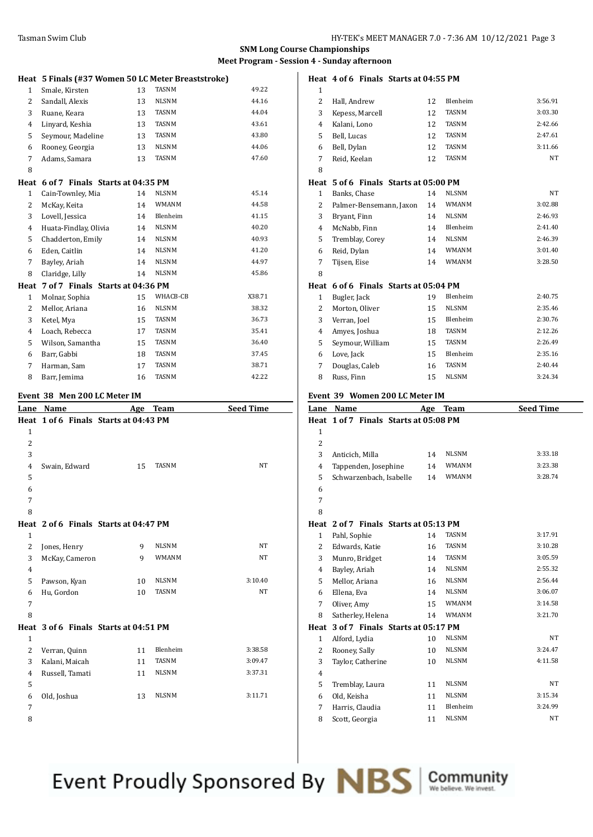**Heat 4 of 6 Finals Starts at 04:55 PM**

## **SNM Long Course Championships Meet Program - Session 4 - Sunday afternoon**

|                | Heat 5 Finals (#37 Women 50 LC Meter Breaststroke) |     |              |                  |
|----------------|----------------------------------------------------|-----|--------------|------------------|
| $\mathbf{1}$   | Smale, Kirsten                                     | 13  | TASNM        | 49.22            |
| $\overline{2}$ | Sandall, Alexis                                    | 13  | <b>NLSNM</b> | 44.16            |
| 3              | Ruane, Keara                                       | 13  | <b>TASNM</b> | 44.04            |
| 4              | Linyard, Keshia                                    | 13  | TASNM        | 43.61            |
| 5              | Seymour, Madeline                                  | 13  | <b>TASNM</b> | 43.80            |
| 6              | Rooney, Georgia                                    | 13  | <b>NLSNM</b> | 44.06            |
| 7              | Adams, Samara                                      | 13  | TASNM        | 47.60            |
| 8              |                                                    |     |              |                  |
| Heat           | 6 of 7 Finals Starts at 04:35 PM                   |     |              |                  |
| $\mathbf{1}$   | Cain-Townley, Mia                                  | 14  | <b>NLSNM</b> | 45.14            |
| $\overline{2}$ | McKay, Keita                                       | 14  | WMANM        | 44.58            |
| 3              | Lovell, Jessica                                    | 14  | Blenheim     | 41.15            |
| 4              | Huata-Findlay, Olivia                              | 14  | <b>NLSNM</b> | 40.20            |
| 5              | Chadderton, Emily                                  | 14  | <b>NLSNM</b> | 40.93            |
| 6              | Eden, Caitlin                                      | 14  | <b>NLSNM</b> | 41.20            |
| 7              | Bayley, Ariah                                      | 14  | <b>NLSNM</b> | 44.97            |
| 8              | Claridge, Lilly                                    | 14  | <b>NLSNM</b> | 45.86            |
| Heat           | 7 of 7 Finals Starts at 04:36 PM                   |     |              |                  |
| $\mathbf{1}$   | Molnar, Sophia                                     | 15  | WHACB-CB     | X38.71           |
| $\overline{2}$ | Mellor, Ariana                                     | 16  | <b>NLSNM</b> | 38.32            |
| 3              | Ketel, Mya                                         | 15  | <b>TASNM</b> | 36.73            |
| $\overline{4}$ | Loach, Rebecca                                     | 17  | <b>TASNM</b> | 35.41            |
| 5              | Wilson, Samantha                                   | 15  | <b>TASNM</b> | 36.40            |
| 6              | Barr, Gabbi                                        | 18  | <b>TASNM</b> | 37.45            |
| 7              | Harman, Sam                                        | 17  | <b>TASNM</b> | 38.71            |
| 8              | Barr, Jemima                                       | 16  | <b>TASNM</b> | 42.22            |
|                | Event 38 Men 200 LC Meter IM                       |     |              |                  |
| Lane           | Name                                               | Age | <b>Team</b>  | <b>Seed Time</b> |
|                | Heat 1 of 6 Finals Starts at 04:43 PM              |     |              |                  |
| $\mathbf{1}$   |                                                    |     |              |                  |

| $\mathbf{1}$   |                                       |    |              |           |
|----------------|---------------------------------------|----|--------------|-----------|
| $\overline{c}$ |                                       |    |              |           |
| 3              |                                       |    |              |           |
| $\overline{4}$ | Swain, Edward                         | 15 | <b>TASNM</b> | <b>NT</b> |
| 5              |                                       |    |              |           |
| 6              |                                       |    |              |           |
| 7              |                                       |    |              |           |
| 8              |                                       |    |              |           |
|                | Heat 2 of 6 Finals Starts at 04:47 PM |    |              |           |
| $\mathbf{1}$   |                                       |    |              |           |
| $\overline{2}$ | Jones, Henry                          | 9  | <b>NLSNM</b> | <b>NT</b> |
| 3              | McKay, Cameron                        | 9  | <b>WMANM</b> | NT        |
| $\overline{4}$ |                                       |    |              |           |
| 5              | Pawson, Kyan                          | 10 | <b>NLSNM</b> | 3:10.40   |
| 6              | Hu, Gordon                            | 10 | <b>TASNM</b> | <b>NT</b> |
| 7              |                                       |    |              |           |
| 8              |                                       |    |              |           |
|                | Heat 3 of 6 Finals Starts at 04:51 PM |    |              |           |
| 1              |                                       |    |              |           |
| $\overline{2}$ | Verran, Quinn                         | 11 | Blenheim     | 3:38.58   |
| 3              | Kalani, Maicah                        | 11 | <b>TASNM</b> | 3:09.47   |
| $\overline{4}$ | Russell, Tamati                       | 11 | <b>NLSNM</b> | 3:37.31   |
| 5              |                                       |    |              |           |
| 6              | Old, Joshua                           | 13 | <b>NLSNM</b> | 3:11.71   |
| 7              |                                       |    |              |           |
| 8              |                                       |    |              |           |

| $\mathbf{1}$      |                                       |    |              |           |
|-------------------|---------------------------------------|----|--------------|-----------|
| 2                 | Hall, Andrew                          | 12 | Blenheim     | 3:56.91   |
| 3                 | Kepess, Marcell                       | 12 | <b>TASNM</b> | 3:03.30   |
| 4                 | Kalani, Lono                          | 12 | <b>TASNM</b> | 2:42.66   |
| 5                 | Bell, Lucas                           | 12 | <b>TASNM</b> | 2:47.61   |
| 6                 | Bell, Dylan                           | 12 | <b>TASNM</b> | 3:11.66   |
| 7                 | Reid, Keelan                          | 12 | <b>TASNM</b> | <b>NT</b> |
| 8                 |                                       |    |              |           |
|                   | Heat 5 of 6 Finals Starts at 05:00 PM |    |              |           |
| $\mathbf{1}$      | Banks, Chase                          | 14 | <b>NLSNM</b> | <b>NT</b> |
| 2                 | Palmer-Bensemann, Jaxon               | 14 | <b>WMANM</b> | 3:02.88   |
| 3                 | Bryant, Finn                          | 14 | <b>NLSNM</b> | 2:46.93   |
| 4                 | McNabb, Finn                          | 14 | Blenheim     | 2:41.40   |
| 5                 | Tremblay, Corey                       | 14 | <b>NLSNM</b> | 2:46.39   |
| 6                 | Reid, Dylan                           | 14 | <b>WMANM</b> | 3:01.40   |
| 7                 | Tijsen, Eise                          | 14 | <b>WMANM</b> | 3:28.50   |
| 8                 |                                       |    |              |           |
| Heat              | 6 of 6 Finals Starts at 05:04 PM      |    |              |           |
| 1                 | Bugler, Jack                          | 19 | Blenheim     | 2:40.75   |
| 2                 | Morton, Oliver                        | 15 | <b>NLSNM</b> | 2:35.46   |
| 3                 | Verran, Joel                          | 15 | Blenheim     | 2:30.76   |
| 4                 | Amyes, Joshua                         | 18 | <b>TASNM</b> | 2:12.26   |
| 5                 | Seymour, William                      | 15 | <b>TASNM</b> | 2:26.49   |
| 6                 | Love, Jack                            | 15 | Blenheim     | 2:35.16   |
| 7                 | Douglas, Caleb                        | 16 | <b>TASNM</b> | 2:40.44   |
| 8                 | Russ, Finn                            | 15 | <b>NLSNM</b> | 3:24.34   |
| <b>Photo</b> 1975 | 0.01110001011                         |    |              |           |

# **Event 39 Women 200 LC Meter IM**

| Lane           | Name                                  | Age | <b>Team</b>  | <b>Seed Time</b> |
|----------------|---------------------------------------|-----|--------------|------------------|
|                | Heat 1 of 7 Finals Starts at 05:08 PM |     |              |                  |
| $\mathbf{1}$   |                                       |     |              |                  |
| 2              |                                       |     |              |                  |
| 3              | Anticich, Milla                       | 14  | <b>NLSNM</b> | 3:33.18          |
| $\overline{4}$ | Tappenden, Josephine                  | 14  | <b>WMANM</b> | 3:23.38          |
| 5              | Schwarzenbach, Isabelle               | 14  | <b>WMANM</b> | 3:28.74          |
| 6              |                                       |     |              |                  |
| 7              |                                       |     |              |                  |
| 8              |                                       |     |              |                  |
|                | Heat 2 of 7 Finals Starts at 05:13 PM |     |              |                  |
| $\mathbf{1}$   | Pahl, Sophie                          | 14  | <b>TASNM</b> | 3:17.91          |
| 2              | Edwards, Katie                        | 16  | <b>TASNM</b> | 3:10.28          |
| 3              | Munro, Bridget                        | 14  | <b>TASNM</b> | 3:05.59          |
| 4              | Bayley, Ariah                         | 14  | <b>NLSNM</b> | 2:55.32          |
| 5              | Mellor, Ariana                        | 16  | <b>NLSNM</b> | 2:56.44          |
| 6              | Ellena, Eva                           | 14  | <b>NLSNM</b> | 3:06.07          |
| 7              | Oliver, Amy                           | 15  | <b>WMANM</b> | 3:14.58          |
| 8              | Satherley, Helena                     | 14  | <b>WMANM</b> | 3:21.70          |
| Heat           | 3 of 7 Finals Starts at 05:17 PM      |     |              |                  |
| $\mathbf{1}$   | Alford, Lydia                         | 10  | <b>NLSNM</b> | NT               |
| 2              | Rooney, Sally                         | 10  | <b>NLSNM</b> | 3:24.47          |
| 3              | Taylor, Catherine                     | 10  | <b>NLSNM</b> | 4:11.58          |
| $\overline{4}$ |                                       |     |              |                  |
| 5              | Tremblay, Laura                       | 11  | <b>NLSNM</b> | NT               |
| 6              | Old, Keisha                           | 11  | <b>NLSNM</b> | 3:15.34          |
| 7              | Harris, Claudia                       | 11  | Blenheim     | 3:24.99          |
| 8              | Scott, Georgia                        | 11  | <b>NLSNM</b> | NT               |

Event Proudly Sponsored By NBS Community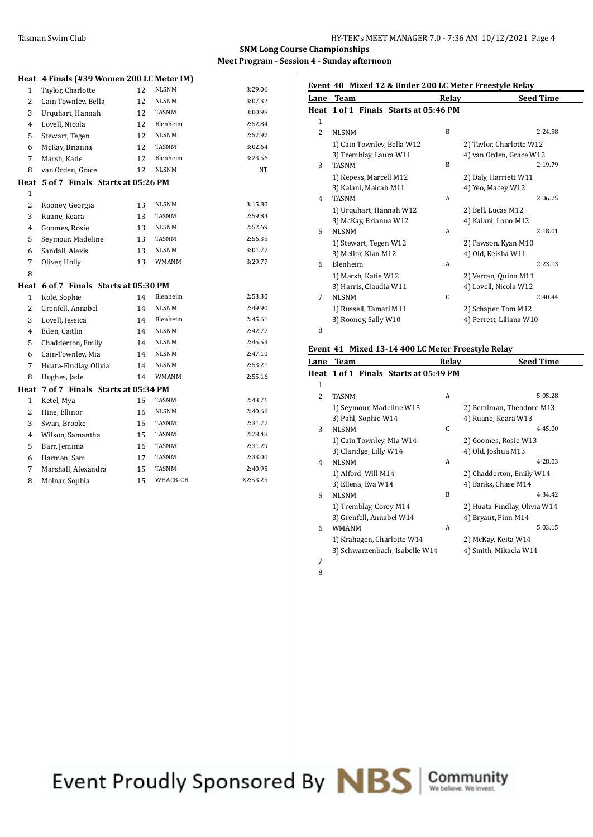## **SNM Long Course Championships Meet Program - Session 4 - Sunday afternoon**

|                | Heat 4 Finals (#39 Women 200 LC Meter IM) |    |              |          |
|----------------|-------------------------------------------|----|--------------|----------|
| $\mathbf{1}$   | Taylor, Charlotte                         | 12 | <b>NLSNM</b> | 3:29.06  |
| 2              | Cain-Townley, Bella                       | 12 | <b>NLSNM</b> | 3:07.32  |
| 3              | Urquhart, Hannah                          | 12 | TASNM        | 3:00.98  |
| 4              | Lovell, Nicola                            | 12 | Blenheim     | 2:52.84  |
| 5              | Stewart, Tegen                            | 12 | <b>NLSNM</b> | 2:57.97  |
| 6              | McKay, Brianna                            | 12 | <b>TASNM</b> | 3:02.64  |
| 7              | Marsh, Katie                              | 12 | Blenheim     | 3:23.56  |
| 8              | van Orden, Grace                          | 12 | <b>NLSNM</b> | NT       |
| Heat           | 5 of 7 Finals Starts at 05:26 PM          |    |              |          |
| $\mathbf{1}$   |                                           |    |              |          |
| 2              | Rooney, Georgia                           | 13 | NLSNM        | 3:15.80  |
| 3              | Ruane, Keara                              | 13 | TASNM        | 2:59.84  |
| 4              | Goomes, Rosie                             | 13 | NLSNM        | 2:52.69  |
| 5              | Seymour, Madeline                         | 13 | TASNM        | 2:56.35  |
| 6              | Sandall, Alexis                           | 13 | <b>NLSNM</b> | 3:01.77  |
| 7              | Oliver, Holly                             | 13 | WMANM        | 3:29.77  |
| 8              |                                           |    |              |          |
| Heat           | 6 of 7 Finals Starts at 05:30 PM          |    |              |          |
| 1              | Kole, Sophie                              | 14 | Blenheim     | 2:53.30  |
| $\overline{c}$ | Grenfell, Annabel                         | 14 | <b>NLSNM</b> | 2:49.90  |
| 3              | Lovell, Jessica                           | 14 | Blenheim     | 2:45.61  |
| 4              | Eden, Caitlin                             | 14 | <b>NLSNM</b> | 2:42.77  |
| 5              | Chadderton, Emily                         | 14 | NLSNM        | 2:45.53  |
| 6              | Cain-Townley, Mia                         | 14 | NLSNM        | 2:47.10  |
| 7              | Huata-Findlay, Olivia                     | 14 | <b>NLSNM</b> | 2:53.21  |
| 8              | Hughes, Jade                              | 14 | WMANM        | 2:55.16  |
| Heat           | 7 of 7 Finals Starts at 05:34 PM          |    |              |          |
| $\mathbf{1}$   | Ketel, Mya                                | 15 | TASNM        | 2:43.76  |
| $\overline{c}$ | Hine, Ellinor                             | 16 | <b>NLSNM</b> | 2:40.66  |
| 3              | Swan, Brooke                              | 15 | TASNM        | 2:31.77  |
| $\overline{4}$ | Wilson, Samantha                          | 15 | TASNM        | 2:28.48  |
| 5              | Barr, Jemima                              | 16 | TASNM        | 2:31.29  |
| 6              | Harman, Sam                               | 17 | TASNM        | 2:33.00  |
| 7              | Marshall, Alexandra                       | 15 | <b>TASNM</b> | 2:40.95  |
| 8              | Molnar, Sophia                            | 15 | WHACB-CB     | X2:53.25 |

| Event 40 Mixed 12 & Under 200 LC Meter Freestyle Relay |  |
|--------------------------------------------------------|--|
|                                                        |  |

| Lane           | Team                                  | Relay        | <b>Seed Time</b>         |
|----------------|---------------------------------------|--------------|--------------------------|
|                | Heat 1 of 1 Finals Starts at 05:46 PM |              |                          |
| $\mathbf{1}$   |                                       |              |                          |
| $\overline{2}$ | <b>NLSNM</b>                          | B            | 2:24.58                  |
|                | 1) Cain-Townley, Bella W12            |              | 2) Taylor, Charlotte W12 |
|                | 3) Tremblay, Laura W11                |              | 4) van Orden, Grace W12  |
| 3              | <b>TASNM</b>                          | <sub>B</sub> | 2:19.79                  |
|                | 1) Kepess, Marcell M12                |              | 2) Daly, Harriett W11    |
|                | 3) Kalani, Maicah M11                 |              | 4) Yeo, Macey W12        |
| 4              | <b>TASNM</b>                          | A            | 2:06.75                  |
|                | 1) Urquhart, Hannah W12               |              | 2) Bell, Lucas M12       |
|                | 3) McKay, Brianna W12                 |              | 4) Kalani, Lono M12      |
| 5              | <b>NLSNM</b>                          | A            | 2:18.01                  |
|                | 1) Stewart, Tegen W12                 |              | 2) Pawson, Kyan M10      |
|                | 3) Mellor, Kian M12                   |              | 4) Old, Keisha W11       |
| 6              | Blenheim                              | A            | 2:23.13                  |
|                | 1) Marsh, Katie W12                   |              | 2) Verran, Quinn M11     |
|                | 3) Harris, Claudia W11                |              | 4) Lovell, Nicola W12    |
| 7              | <b>NLSNM</b>                          | C            | 2:40.44                  |
|                | 1) Russell, Tamati M11                |              | 2) Schaper, Tom M12      |
|                | 3) Rooney, Sally W10                  |              | 4) Perrett, Liliana W10  |
| 8              |                                       |              |                          |

## **Event 41 Mixed 13-14 400 LC Meter Freestyle Relay**

| Lane | <b>Team</b>                           | Relay | <b>Seed Time</b>             |
|------|---------------------------------------|-------|------------------------------|
|      | Heat 1 of 1 Finals Starts at 05:49 PM |       |                              |
| 1    |                                       |       |                              |
| 2    | TASNM                                 | A     | 5:05.28                      |
|      | 1) Seymour, Madeline W13              |       | 2) Berriman, Theodore M13    |
|      | 3) Pahl, Sophie W14                   |       | 4) Ruane, Keara W13          |
| 3    | <b>NLSNM</b>                          | C     | 4:45.00                      |
|      | 1) Cain-Townley, Mia W14              |       | 2) Goomes, Rosie W13         |
|      | 3) Claridge, Lilly W14                |       | 4) Old, Joshua M13           |
| 4    | <b>NLSNM</b>                          | A     | 4:28.03                      |
|      | 1) Alford, Will M14                   |       | 2) Chadderton, Emily W14     |
|      | 3) Ellena, Eva W14                    |       | 4) Banks, Chase M14          |
| 5    | <b>NLSNM</b>                          | B     | 4:34.42                      |
|      | 1) Tremblay, Corey M14                |       | 2) Huata-Findlay, Olivia W14 |
|      | 3) Grenfell, Annabel W14              |       | 4) Bryant, Finn M14          |
| 6    | <b>WMANM</b>                          | A     | 5:03.15                      |
|      | 1) Krahagen, Charlotte W14            |       | 2) McKay, Keita W14          |
|      | 3) Schwarzenbach, Isabelle W14        |       | 4) Smith, Mikaela W14        |
| 7    |                                       |       |                              |

8

Event Proudly Sponsored By NBS Community